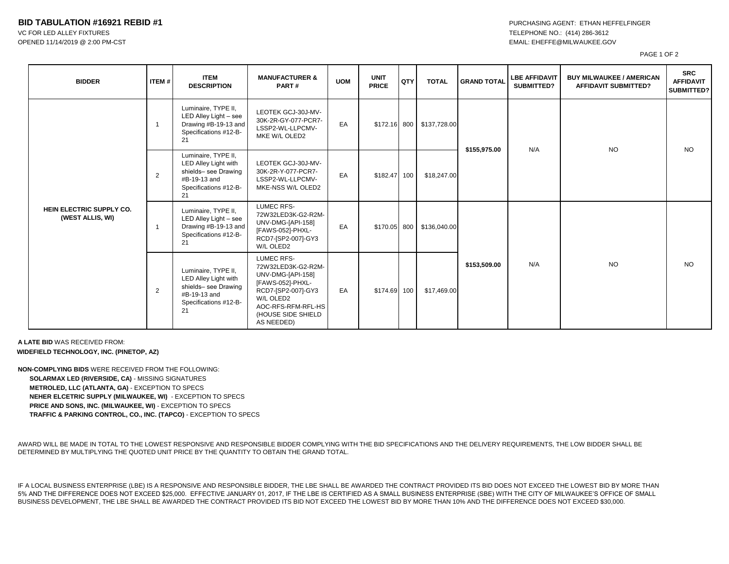## **BID TABULATION #16921 REBID #1 PURCHASING AGENT: ETHAN HEFFELFINGER**

VC FOR LED ALLEY FIXTURES THE STATES TO A 1999-3612

OPENED 11/14/2019 @ 2:00 PM-CST EMAIL: EHEFFE@MILWAUKEE.GOV

PAGE 1 OF 2

| <b>BIDDER</b>                                | ITEM#                   | <b>ITEM</b><br><b>DESCRIPTION</b>                                                                                  | <b>MANUFACTURER &amp;</b><br>PART#                                                                                                                                            | <b>UOM</b> | <b>UNIT</b><br><b>PRICE</b> | QTY | <b>TOTAL</b>              | <b>GRAND TOTAL</b> | <b>LBE AFFIDAVIT</b><br>SUBMITTED? | <b>BUY MILWAUKEE / AMERICAN</b><br><b>AFFIDAVIT SUBMITTED?</b> | <b>SRC</b><br><b>AFFIDAVIT</b><br><b>SUBMITTED?</b> |
|----------------------------------------------|-------------------------|--------------------------------------------------------------------------------------------------------------------|-------------------------------------------------------------------------------------------------------------------------------------------------------------------------------|------------|-----------------------------|-----|---------------------------|--------------------|------------------------------------|----------------------------------------------------------------|-----------------------------------------------------|
| HEIN ELECTRIC SUPPLY CO.<br>(WEST ALLIS, WI) | $\overline{\mathbf{1}}$ | Luminaire, TYPE II,<br>LED Alley Light - see<br>Drawing #B-19-13 and<br>Specifications #12-B-<br>21                | LEOTEK GCJ-30J-MV-<br>30K-2R-GY-077-PCR7-<br>LSSP2-WL-LLPCMV-<br>MKE W/L OLED2                                                                                                | EA         |                             |     | \$172.16 800 \$137,728.00 | \$155,975.00       | N/A                                | <b>NO</b>                                                      | NO.                                                 |
|                                              | 2                       | Luminaire, TYPE II,<br>LED Alley Light with<br>shields- see Drawing<br>#B-19-13 and<br>Specifications #12-B-<br>21 | LEOTEK GCJ-30J-MV-<br>30K-2R-Y-077-PCR7-<br>LSSP2-WL-LLPCMV-<br>MKE-NSS W/L OLED2                                                                                             | EA         | \$182.47 100                |     | \$18,247.00               |                    |                                    |                                                                |                                                     |
|                                              | $\overline{1}$          | Luminaire, TYPE II,<br>LED Alley Light - see<br>Drawing #B-19-13 and<br>Specifications #12-B-<br>21                | <b>LUMEC RFS-</b><br>72W32LED3K-G2-R2M-<br>UNV-DMG-[API-158]<br>[FAWS-052]-PHXL-<br>RCD7-[SP2-007]-GY3<br>W/L OLED2                                                           | EA         |                             |     | \$170.05 800 \$136,040.00 | \$153,509.00       | N/A                                | <b>NO</b>                                                      | NO.                                                 |
|                                              | 2                       | Luminaire, TYPE II,<br>LED Alley Light with<br>shields- see Drawing<br>#B-19-13 and<br>Specifications #12-B-<br>21 | <b>LUMEC RFS-</b><br>72W32LED3K-G2-R2M-<br>UNV-DMG-[API-158]<br>[FAWS-052]-PHXL-<br>RCD7-[SP2-007]-GY3<br>W/L OLED2<br>AOC-RFS-RFM-RFL-HS<br>(HOUSE SIDE SHIELD<br>AS NEEDED) | EA         | \$174.69 100                |     | \$17,469.00               |                    |                                    |                                                                |                                                     |

**A LATE BID** WAS RECEIVED FROM: **WIDEFIELD TECHNOLOGY, INC. (PINETOP, AZ)**

**NON-COMPLYING BIDS** WERE RECEIVED FROM THE FOLLOWING: **SOLARMAX LED (RIVERSIDE, CA)** - MISSING SIGNATURES **METROLED, LLC (ATLANTA, GA)** - EXCEPTION TO SPECS **NEHER ELCETRIC SUPPLY (MILWAUKEE, WI)** - EXCEPTION TO SPECS **PRICE AND SONS, INC. (MILWAUKEE, WI)** - EXCEPTION TO SPECS **TRAFFIC & PARKING CONTROL, CO., INC. (TAPCO)** - EXCEPTION TO SPECS

AWARD WILL BE MADE IN TOTAL TO THE LOWEST RESPONSIVE AND RESPONSIBLE BIDDER COMPLYING WITH THE BID SPECIFICATIONS AND THE DELIVERY REQUIREMENTS, THE LOW BIDDER SHALL BE DETERMINED BY MULTIPLYING THE QUOTED UNIT PRICE BY THE QUANTITY TO OBTAIN THE GRAND TOTAL.

IF A LOCAL BUSINESS ENTERPRISE (LBE) IS A RESPONSIVE AND RESPONSIBLE BIDDER, THE LBE SHALL BE AWARDED THE CONTRACT PROVIDED ITS BID DOES NOT EXCEED THE LOWEST BID BY MORE THAN 5% AND THE DIFFERENCE DOES NOT EXCEED \$25,000. EFFECTIVE JANUARY 01, 2017, IF THE LBE IS CERTIFIED AS A SMALL BUSINESS ENTERPRISE (SBE) WITH THE CITY OF MILWAUKEE'S OFFICE OF SMALL BUSINESS DEVELOPMENT, THE LBE SHALL BE AWARDED THE CONTRACT PROVIDED ITS BID NOT EXCEED THE LOWEST BID BY MORE THAN 10% AND THE DIFFERENCE DOES NOT EXCEED \$30,000.